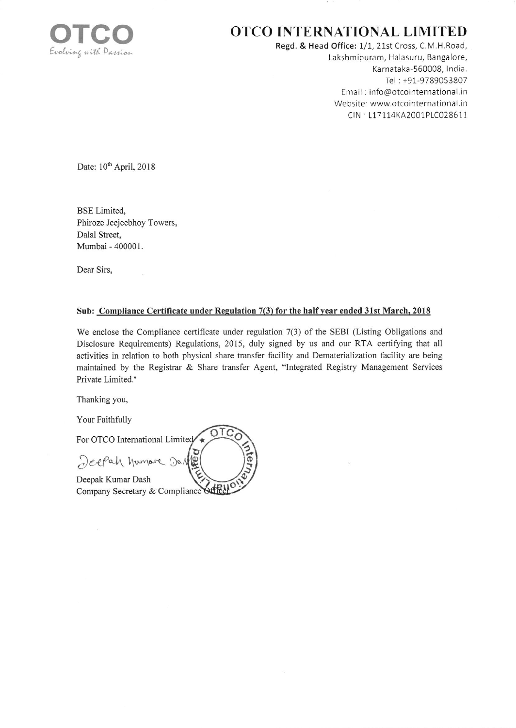

## OTCO INTERNATIONAL LIMITED

Regd. & Head Office: 1/1, 21st Cross, C.M.H.Road, Lakshmipuram, Halasuru, Bangalore, Karnataka-560008, India. Tel: +91-9789053807 Email: info@otcointernational.in Website: www.otcointernational.in CIN · L17114KA2001PLC028611

Date: 10<sup>th</sup> April, 2018

**BSE** Limited, Phiroze Jeejeebhoy Towers, Dalal Street, Mumbai - 400001.

Dear Sirs.

## Sub: Compliance Certificate under Regulation 7(3) for the half year ended 31st March, 2018

We enclose the Compliance certificate under regulation 7(3) of the SEBI (Listing Obligations and Disclosure Requirements) Regulations, 2015, duly signed by us and our RTA certifying that all activities in relation to both physical share transfer facility and Dematerialization facility are being maintained by the Registrar & Share transfer Agent, "Integrated Registry Management Services Private Limited."

Thanking you,

Your Faithfully

For OTCO International Limited Jeepah humare Dal Deepak Kumar Dash Company Secretary & Compliance Officer